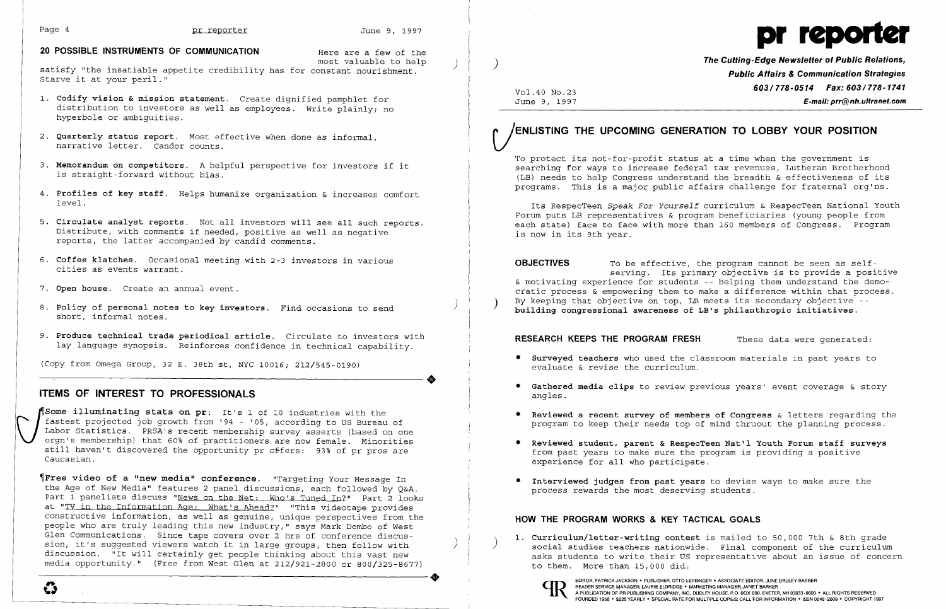### Page 4 **produced** pr reporter

# **20 POSSIBLE INSTRUMENTS OF COMMUNICATION**

Here are a few of the<br>most valuable to help

most valuable to help<br>> most valuable insatiable appetite credibility has for constant nourishment. Starve it at your peril."

**•** 

- **1. Codify vision & mission statement.** Create dignified pamphlet for distribution to investors as well as employees. Write plainly; no hyperbole or ambiguities.
- 2. **Quarterly status report.** Most effective when done as informal, narrative letter. Candor counts.
- 3. **Memorandum on competitors.** A helpful perspective for investors if it is straight-forward without bias. Ì
- 4. **Profiles of key staff.** Helps humanize organization & increases comfort level.
- 5. **Circulate analyst reports.** Not all investors will see all such reports. Distribute, with comments if needed, positive as well as negative reports, the latter accompanied by candid comments.
- 6. **Coffee klatches.** Occasional meeting with 2-3 investors in various cities as events warrant.
- 7. **Open house.** Create an annual event.
- ) 8. **Policy of personal notes to key investors.** Find occasions to send short, informal notes.
- 9. **Produce technical trade periodical article.** Circulate to investors with lay language synopsis. Reinforces confidence in technical capability.

Some illuminating stats on pr: It's 1 of 10 industries with the fastest projected job growth from '94 - '05, according to US Bureau Labor Statistics. PRSA's recent membership survey asserts (based or orgn's membership) tha **Some illuminating stats on pr**: It's 1 of 10 industries with the fastest projected job growth from '94 - '05, according to US Bureau of Labor Statistics. PRSA's recent membership survey asserts (based on one orgn's membership) that 60% of practitioners are now female. Minorities still haven't discovered the opportunity pr offers: 93% of pr pros are Caucasian.

(Copy from Omega Group, 32 E. 38th st, NYC 10016; 212/545-0190)

# **ITEMS OF INTEREST TO PROFESSIONALS**

E-mail: prr@nh.ultranet.com **The Cutting-Edge Newsletter of Public Relations, Public Altairs & Communication Strategies 6031778-0514 Fax: 6031778-1741** 

 $\left\{\right.$ I

 $\left( \right)$ 

 $\left( \right)$ 

To protect its not-for-profit status at a time when the government is searching for ways to increase federal tax revenues, Lutheran Brotherhood (LB) needs to help Congress understand the breadth & effectiveness of its programs. This is a major public affairs challenge for fraternal org'ns.

**OBJECTIVES** To be effective, the program cannot be seen as selfserving. Its primary objective is to provide a positive & motivating experience for students -- helping them understand the democratic process & empowering them to make a difference within that process. By keeping that objective on top, LB meets its secondary objective **building congressional awareness of LB's philanthropic initiatives.** 

### **RESEARCH KEEPS THE PROGRAM FRESH** These data were generated:

~Free **video of a nnew median conference.** "Targeting Your Message In the Age of New Media" features 2 panel discussions, each followed by Q&A. Part 1 panelists discuss "News on the Net: Who's Tuned In?" Part 2 looks at "TV in the Information Age: What's Ahead?" "This videotape provides constructive information, as well as genuine, unique perspectives from the people who are truly leading this new industry," says Mark Dembo of West Glen Communications. Since tape covers over 2 hrs of conference discussion, it's suggested viewers watch it in large groups, then follow with sion, it's suggested viewers watch it in large groups, then follow with<br>discussion. "It will certainly get people thinking about this vast new<br>media opportunity." (Free from West Glen at 212/921-2800 or 800/325-8677) media opportunity." (Free from West Glen at 212/921-2800 or 800/325-8677)

Vol.40 No.23<br>June 9, 1997

)

# **(jENLISTING THE UPCOMING GENERATION TO LOBBY YOUR POSITION**



Its RespecTeen *Speak For Yourself* curriculum & RespecTeen National Youth Forum puts LB representatives & program beneficiaries (young people from each state) face to face with more than 160 members of Congress. Program is now in its 9th year.

**• Reviewed a recent survey of members of Congress** & letters regarding the program to keep their needs top of mind thruout the planning process.

- **• Surveyed teachers** who used the classroom materials in past years to evaluate & revise the curriculum.
- **• Gathered media clips** to review previous years' event coverage & story angles.
- 
- **• Reviewed student, parent & RespecTeen Nat'l Youth Forum staff surveys**  from past years to make sure the program is providing a positive experience for all who participate.
- **• Interviewed judges from past years** to devise ways to make sure the process rewards the most deserving students.

# **HOW THE PROGRAM WORKS & KEY TACTICAL GOALS**

**1. Curriculum/letter-writing contest** is mailed to 50,000 7th & 8th grade to them. More than 15,000 did.



READER SERVICE MANAGER, LAURIE ELDRIDGE . MARKETING MANAGER, JANET BARKER

 $\bullet$ 

social studies teachers nationwide. Final component of the curriculum asks students to write their US representative about an issue of concern